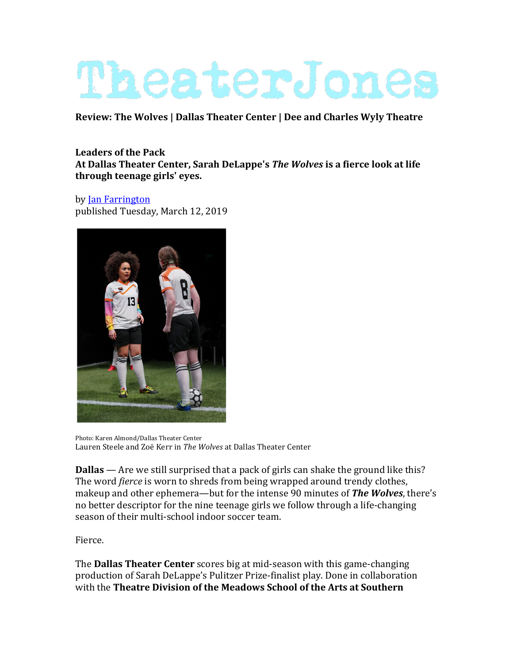## TheaterJones

**Review: The Wolves | Dallas Theater Center | Dee and Charles Wyly Theatre** 

## **Leaders of the Pack** At Dallas Theater Center, Sarah DeLappe's *The Wolves* is a fierce look at life **through teenage girls' eyes.**

by Jan Farrington published Tuesday, March 12, 2019



Photo: Karen Almond/Dallas Theater Center Lauren Steele and Zoë Kerr in *The Wolves* at Dallas Theater Center

**Dallas** — Are we still surprised that a pack of girls can shake the ground like this? The word *fierce* is worn to shreds from being wrapped around trendy clothes, makeup and other ephemera—but for the intense 90 minutes of **The Wolves**, there's no better descriptor for the nine teenage girls we follow through a life-changing season of their multi-school indoor soccer team.

Fierce.

**The Dallas Theater Center** scores big at mid-season with this game-changing production of Sarah DeLappe's Pulitzer Prize-finalist play. Done in collaboration with the **Theatre Division of the Meadows School of the Arts at Southern**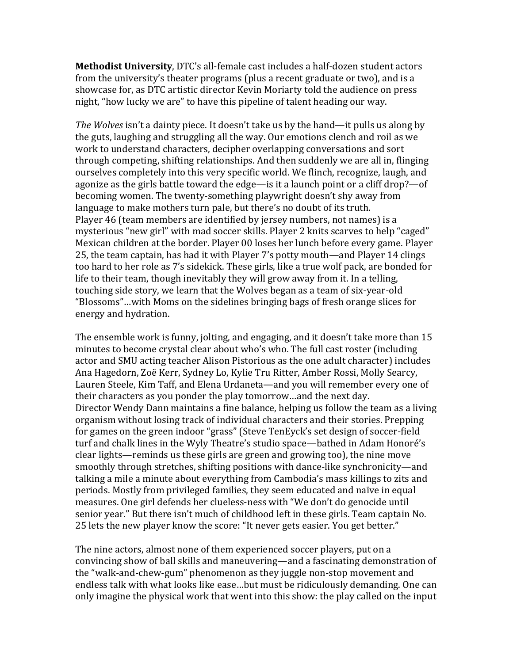**Methodist University, DTC's all-female cast includes a half-dozen student actors** from the university's theater programs (plus a recent graduate or two), and is a showcase for, as DTC artistic director Kevin Moriarty told the audience on press night, "how lucky we are" to have this pipeline of talent heading our way.

*The Wolves* isn't a dainty piece. It doesn't take us by the hand—it pulls us along by the guts, laughing and struggling all the way. Our emotions clench and roil as we work to understand characters, decipher overlapping conversations and sort through competing, shifting relationships. And then suddenly we are all in, flinging ourselves completely into this very specific world. We flinch, recognize, laugh, and agonize as the girls battle toward the edge—is it a launch point or a cliff drop?—of becoming women. The twenty-something playwright doesn't shy away from language to make mothers turn pale, but there's no doubt of its truth. Player 46 (team members are identified by jersey numbers, not names) is a mysterious "new girl" with mad soccer skills. Player 2 knits scarves to help "caged" Mexican children at the border. Player 00 loses her lunch before every game. Player 25, the team captain, has had it with Player 7's potty mouth—and Player 14 clings too hard to her role as 7's sidekick. These girls, like a true wolf pack, are bonded for life to their team, though inevitably they will grow away from it. In a telling, touching side story, we learn that the Wolves began as a team of six-year-old "Blossoms"...with Moms on the sidelines bringing bags of fresh orange slices for energy and hydration.

The ensemble work is funny, jolting, and engaging, and it doesn't take more than  $15$ minutes to become crystal clear about who's who. The full cast roster (including actor and SMU acting teacher Alison Pistorious as the one adult character) includes Ana Hagedorn, Zoë Kerr, Sydney Lo, Kylie Tru Ritter, Amber Rossi, Molly Searcy, Lauren Steele, Kim Taff, and Elena Urdaneta—and you will remember every one of their characters as you ponder the play tomorrow...and the next day. Director Wendy Dann maintains a fine balance, helping us follow the team as a living organism without losing track of individual characters and their stories. Prepping for games on the green indoor "grass" (Steve TenEyck's set design of soccer-field turf and chalk lines in the Wyly Theatre's studio space—bathed in Adam Honoré's clear lights—reminds us these girls are green and growing too), the nine move smoothly through stretches, shifting positions with dance-like synchronicity—and talking a mile a minute about everything from Cambodia's mass killings to zits and periods. Mostly from privileged families, they seem educated and naïve in equal measures. One girl defends her clueless-ness with "We don't do genocide until senior year." But there isn't much of childhood left in these girls. Team captain No. 25 lets the new player know the score: "It never gets easier. You get better."

The nine actors, almost none of them experienced soccer players, put on a convincing show of ball skills and maneuvering—and a fascinating demonstration of the "walk-and-chew-gum" phenomenon as they juggle non-stop movement and endless talk with what looks like ease...but must be ridiculously demanding. One can only imagine the physical work that went into this show: the play called on the input